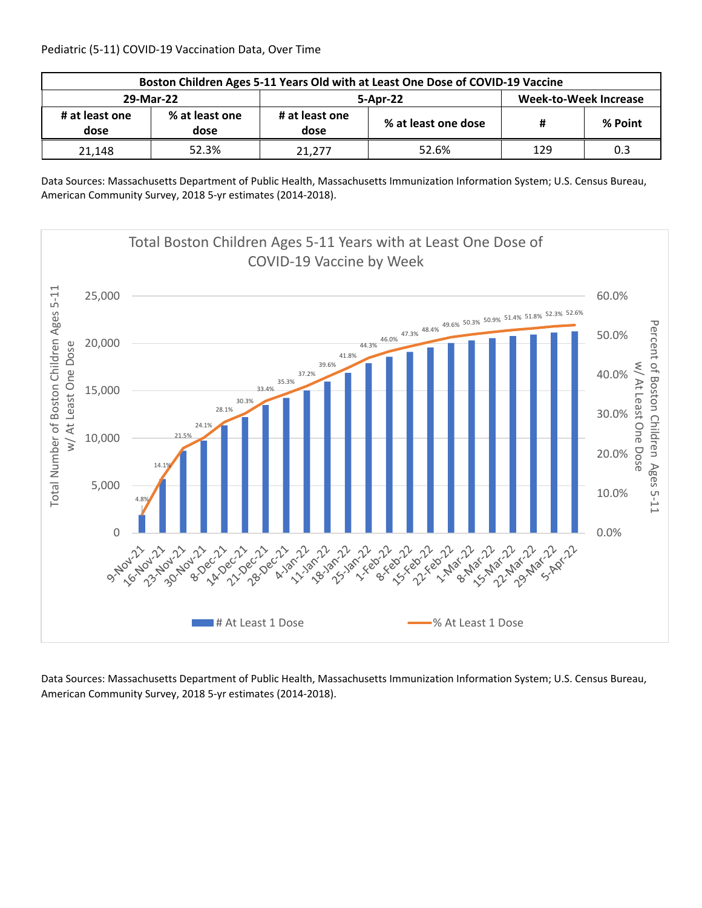| Boston Children Ages 5-11 Years Old with at Least One Dose of COVID-19 Vaccine |                        |                        |                     |                              |         |  |  |
|--------------------------------------------------------------------------------|------------------------|------------------------|---------------------|------------------------------|---------|--|--|
| 29-Mar-22                                                                      |                        |                        | 5-Apr-22            | <b>Week-to-Week Increase</b> |         |  |  |
| # at least one<br>dose                                                         | % at least one<br>dose | # at least one<br>dose | % at least one dose | Ħ                            | % Point |  |  |
| 21.148                                                                         | 52.3%                  | 21.277                 | 52.6%               | 129                          | 0.3     |  |  |

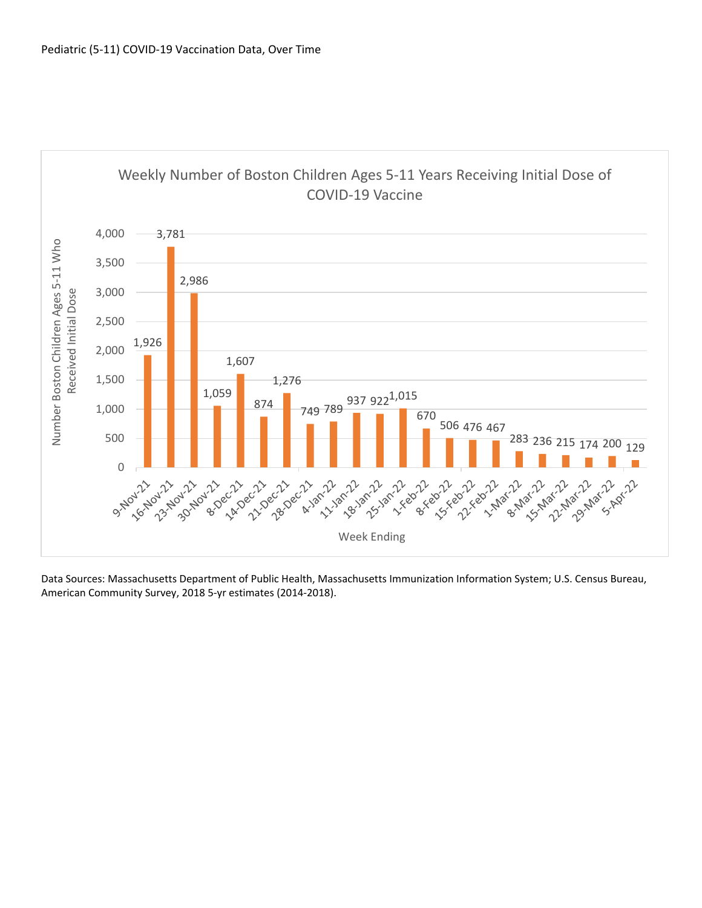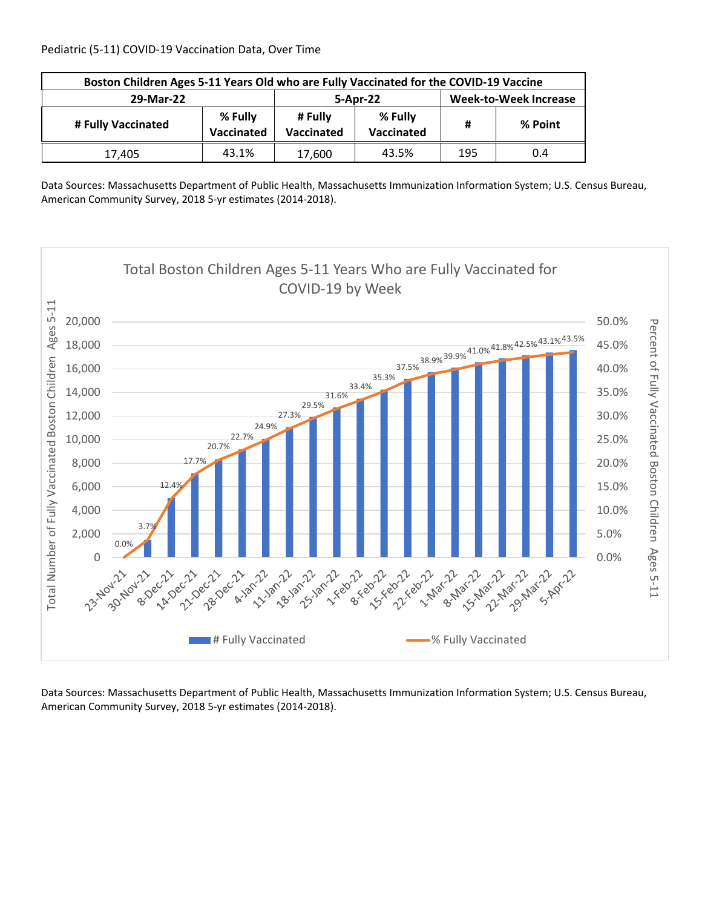| Boston Children Ages 5-11 Years Old who are Fully Vaccinated for the COVID-19 Vaccine |                       |                       |                              |     |         |  |  |
|---------------------------------------------------------------------------------------|-----------------------|-----------------------|------------------------------|-----|---------|--|--|
| 29-Mar-22                                                                             |                       | 5-Apr-22              | <b>Week-to-Week Increase</b> |     |         |  |  |
| # Fully Vaccinated                                                                    | % Fully<br>Vaccinated | # Fully<br>Vaccinated | % Fully<br>Vaccinated        | Ħ   | % Point |  |  |
| 17.405                                                                                | 43.1%                 | 17,600                | 43.5%                        | 195 | 0.4     |  |  |

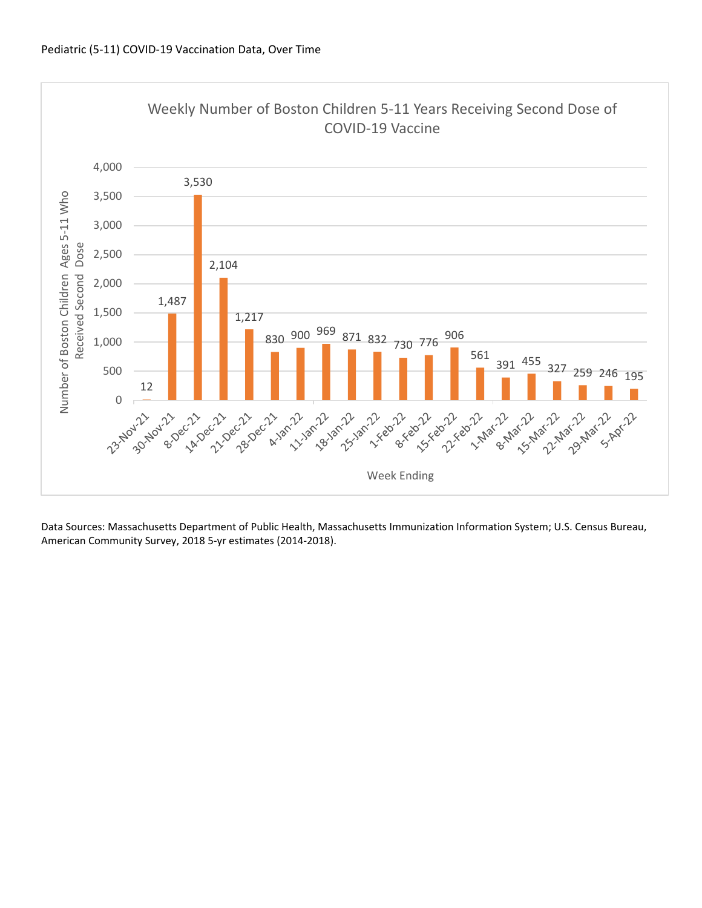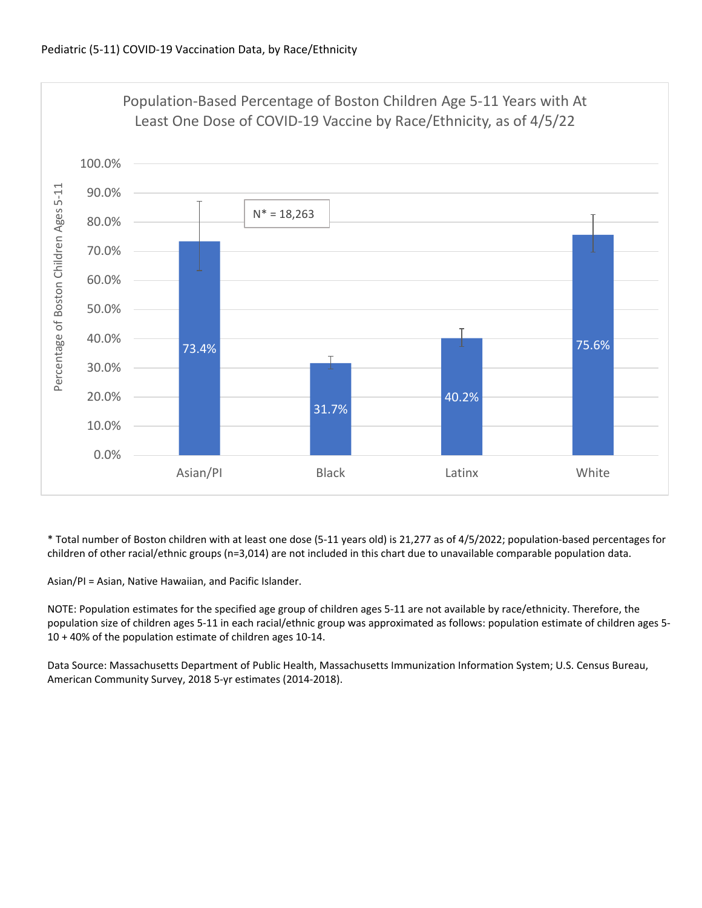

\* Total number of Boston children with at least one dose (5‐11 years old) is 21,277 as of 4/5/2022; population‐based percentages for children of other racial/ethnic groups (n=3,014) are not included in this chart due to unavailable comparable population data.

Asian/PI = Asian, Native Hawaiian, and Pacific Islander.

NOTE: Population estimates for the specified age group of children ages 5‐11 are not available by race/ethnicity. Therefore, the population size of children ages 5‐11 in each racial/ethnic group was approximated as follows: population estimate of children ages 5‐ 10 + 40% of the population estimate of children ages 10‐14.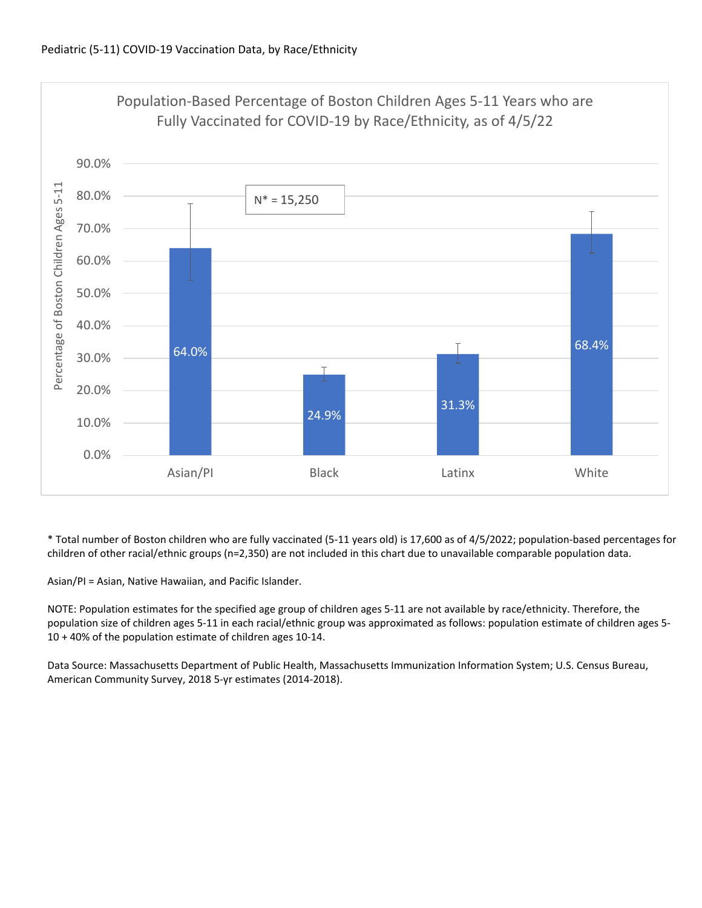

\* Total number of Boston children who are fully vaccinated (5‐11 years old) is 17,600 as of 4/5/2022; population‐based percentages for children of other racial/ethnic groups (n=2,350) are not included in this chart due to unavailable comparable population data.

Asian/PI = Asian, Native Hawaiian, and Pacific Islander.

NOTE: Population estimates for the specified age group of children ages 5‐11 are not available by race/ethnicity. Therefore, the population size of children ages 5‐11 in each racial/ethnic group was approximated as follows: population estimate of children ages 5‐ 10 + 40% of the population estimate of children ages 10‐14.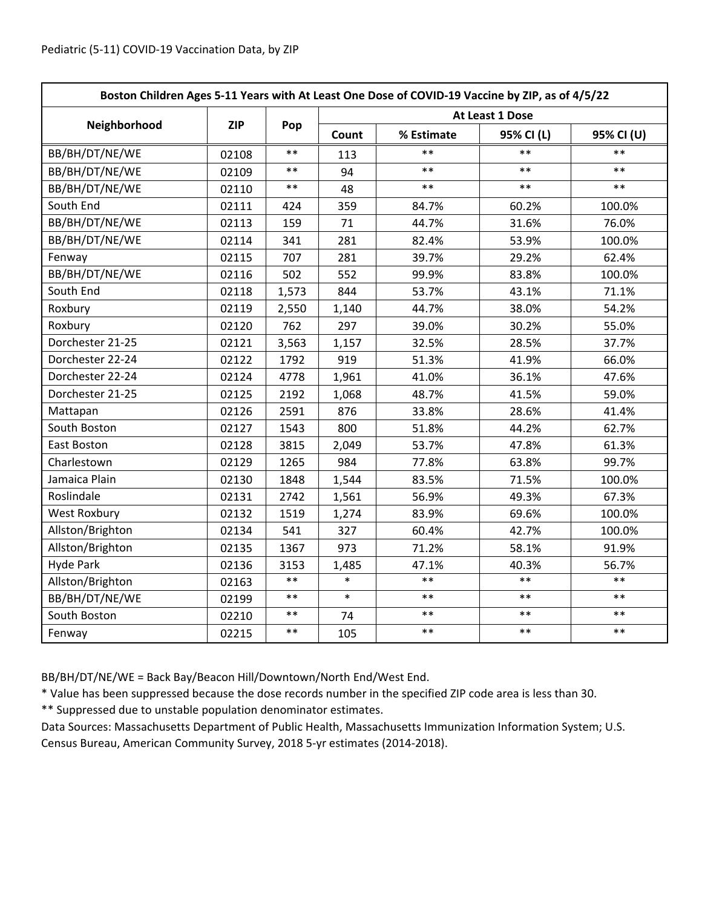| Boston Children Ages 5-11 Years with At Least One Dose of COVID-19 Vaccine by ZIP, as of 4/5/22 |            |            |                 |            |            |            |  |
|-------------------------------------------------------------------------------------------------|------------|------------|-----------------|------------|------------|------------|--|
|                                                                                                 | <b>ZIP</b> | Pop        | At Least 1 Dose |            |            |            |  |
| Neighborhood                                                                                    |            |            | Count           | % Estimate | 95% CI (L) | 95% CI (U) |  |
| BB/BH/DT/NE/WE                                                                                  | 02108      | $**$       | 113             | **         | $**$       | $**$       |  |
| BB/BH/DT/NE/WE                                                                                  | 02109      | $\ast\ast$ | 94              | $***$      | $***$      | $***$      |  |
| BB/BH/DT/NE/WE                                                                                  | 02110      | $***$      | 48              | $***$      | $***$      | $***$      |  |
| South End                                                                                       | 02111      | 424        | 359             | 84.7%      | 60.2%      | 100.0%     |  |
| BB/BH/DT/NE/WE                                                                                  | 02113      | 159        | 71              | 44.7%      | 31.6%      | 76.0%      |  |
| BB/BH/DT/NE/WE                                                                                  | 02114      | 341        | 281             | 82.4%      | 53.9%      | 100.0%     |  |
| Fenway                                                                                          | 02115      | 707        | 281             | 39.7%      | 29.2%      | 62.4%      |  |
| BB/BH/DT/NE/WE                                                                                  | 02116      | 502        | 552             | 99.9%      | 83.8%      | 100.0%     |  |
| South End                                                                                       | 02118      | 1,573      | 844             | 53.7%      | 43.1%      | 71.1%      |  |
| Roxbury                                                                                         | 02119      | 2,550      | 1,140           | 44.7%      | 38.0%      | 54.2%      |  |
| Roxbury                                                                                         | 02120      | 762        | 297             | 39.0%      | 30.2%      | 55.0%      |  |
| Dorchester 21-25                                                                                | 02121      | 3,563      | 1,157           | 32.5%      | 28.5%      | 37.7%      |  |
| Dorchester 22-24                                                                                | 02122      | 1792       | 919             | 51.3%      | 41.9%      | 66.0%      |  |
| Dorchester 22-24                                                                                | 02124      | 4778       | 1,961           | 41.0%      | 36.1%      | 47.6%      |  |
| Dorchester 21-25                                                                                | 02125      | 2192       | 1,068           | 48.7%      | 41.5%      | 59.0%      |  |
| Mattapan                                                                                        | 02126      | 2591       | 876             | 33.8%      | 28.6%      | 41.4%      |  |
| South Boston                                                                                    | 02127      | 1543       | 800             | 51.8%      | 44.2%      | 62.7%      |  |
| East Boston                                                                                     | 02128      | 3815       | 2,049           | 53.7%      | 47.8%      | 61.3%      |  |
| Charlestown                                                                                     | 02129      | 1265       | 984             | 77.8%      | 63.8%      | 99.7%      |  |
| Jamaica Plain                                                                                   | 02130      | 1848       | 1,544           | 83.5%      | 71.5%      | 100.0%     |  |
| Roslindale                                                                                      | 02131      | 2742       | 1,561           | 56.9%      | 49.3%      | 67.3%      |  |
| <b>West Roxbury</b>                                                                             | 02132      | 1519       | 1,274           | 83.9%      | 69.6%      | 100.0%     |  |
| Allston/Brighton                                                                                | 02134      | 541        | 327             | 60.4%      | 42.7%      | 100.0%     |  |
| Allston/Brighton                                                                                | 02135      | 1367       | 973             | 71.2%      | 58.1%      | 91.9%      |  |
| <b>Hyde Park</b>                                                                                | 02136      | 3153       | 1,485           | 47.1%      | 40.3%      | 56.7%      |  |
| Allston/Brighton                                                                                | 02163      | $***$      | $\ast$          | $**$       | $* *$      | $***$      |  |
| BB/BH/DT/NE/WE                                                                                  | 02199      | $***$      | $\ast$          | $**$       | $**$       | $**$       |  |
| South Boston                                                                                    | 02210      | $***$      | 74              | $***$      | $***$      | $***$      |  |
| Fenway                                                                                          | 02215      | $***$      | 105             | $***$      | $***$      | $***$      |  |

BB/BH/DT/NE/WE = Back Bay/Beacon Hill/Downtown/North End/West End.

\* Value has been suppressed because the dose records number in the specified ZIP code area is less than 30.

\*\* Suppressed due to unstable population denominator estimates.